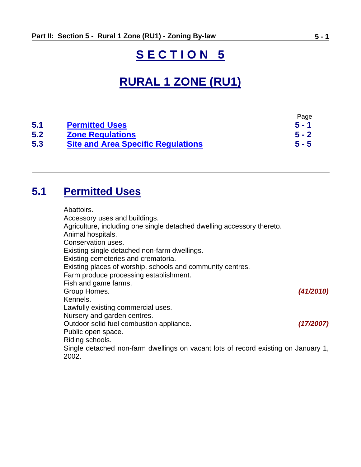# **S E C T I O N 5**

# **RURAL 1 ZONE (RU1)**

|     |                                           | Page    |
|-----|-------------------------------------------|---------|
| 5.1 | <b>Permitted Uses</b>                     | $5 - 1$ |
| 5.2 | <b>Zone Regulations</b>                   | $5 - 2$ |
| 5.3 | <b>Site and Area Specific Regulations</b> | $5 - 5$ |

## <span id="page-0-0"></span>**5.1 Permitted Uses**

Abattoirs.

Accessory uses and buildings. Agriculture, including one single detached dwelling accessory thereto. Animal hospitals. Conservation uses. Existing single detached non-farm dwellings. Existing cemeteries and crematoria. Existing places of worship, schools and community centres. Farm produce processing establishment. Fish and game farms. Group Homes. *(41/2010)* Kennels. Lawfully existing commercial uses. Nursery and garden centres. Outdoor solid fuel combustion appliance. *(17/2007)* Public open space. Riding schools. Single detached non-farm dwellings on vacant lots of record existing on January 1, 2002.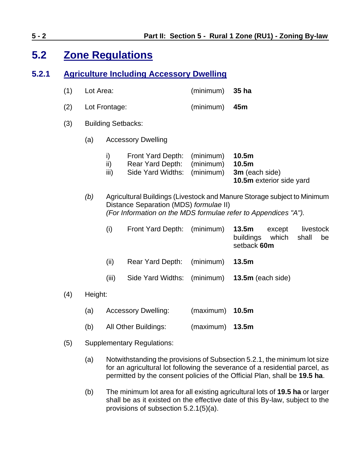## <span id="page-1-0"></span>**5.2 Zone Regulations**

### **5.2.1 Agriculture Including Accessory Dwelling**

- (1) Lot Area: (minimum) **35 ha**
- (2) Lot Frontage: (minimum) **45m**
- (3) Building Setbacks:
	- (a) Accessory Dwelling
		- i) Front Yard Depth: (minimum) **10.5m**
		- ii) Rear Yard Depth: (minimum) **10.5m**
		- iii) Side Yard Widths: (minimum) **3m** (each side)

**10.5m** exterior side yard

*(b)* Agricultural Buildings (Livestock and Manure Storage subject to Minimum Distance Separation (MDS) *formulae* II) *(For Information on the MDS formulae refer to Appendices "A").*

| (i) | Front Yard Depth: (minimum) 13.5m except livestock |                                         |  |  |
|-----|----------------------------------------------------|-----------------------------------------|--|--|
|     |                                                    | buildings which shall be<br>setback 60m |  |  |
|     |                                                    |                                         |  |  |

- (ii) Rear Yard Depth: (minimum) **13.5m**
- (iii) Side Yard Widths: (minimum) **13.5m** (each side)
- (4) Height:
	- (a) Accessory Dwelling: (maximum) **10.5m**
	- (b) All Other Buildings: (maximum) **13.5m**
- (5) Supplementary Regulations:
	- (a) Notwithstanding the provisions of Subsection 5.2.1, the minimum lot size for an agricultural lot following the severance of a residential parcel, as permitted by the consent policies of the Official Plan, shall be **19.5 ha**.
	- (b) The minimum lot area for all existing agricultural lots of **19.5 ha** or larger shall be as it existed on the effective date of this By-law, subject to the provisions of subsection 5.2.1(5)(a).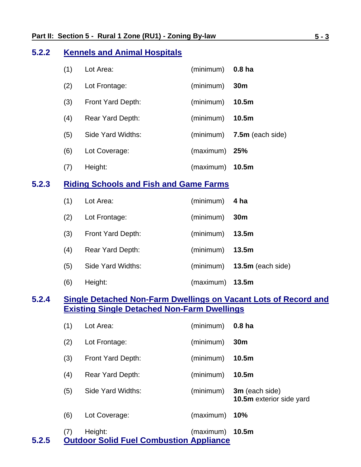#### **5.2.2 Kennels and Animal Hospitals**

| (1) | Lot Area:         | (minimum) | 0.8 <sub>ha</sub>  |
|-----|-------------------|-----------|--------------------|
| (2) | Lot Frontage:     | (minimum) | 30 <sub>m</sub>    |
| (3) | Front Yard Depth: | (minimum) | 10.5 <sub>m</sub>  |
| (4) | Rear Yard Depth:  | (minimum) | 10.5 <sub>m</sub>  |
| (5) | Side Yard Widths: | (minimum) | $7.5m$ (each side) |
| (6) | Lot Coverage:     | (maximum) | 25%                |
| (7) | Height:           | (maximum) | 10.5 <sub>m</sub>  |

## **5.2.3 Riding Schools and Fish and Game Farms**

| (1) | Lot Area:               | $(minimum)$ 4 ha  |                      |
|-----|-------------------------|-------------------|----------------------|
| (2) | Lot Frontage:           | (minimum)         | 30 <sub>m</sub>      |
| (3) | Front Yard Depth:       | (minimum)         | 13.5m                |
| (4) | <b>Rear Yard Depth:</b> | (minimum)         | 13.5m                |
| (5) | Side Yard Widths:       | (minimum)         | 13.5 $m$ (each side) |
| (6) | Height:                 | $(maximum)$ 13.5m |                      |

## **5.2.4 Single Detached Non-Farm Dwellings on Vacant Lots of Record and Existing Single Detached Non-Farm Dwellings**

| 5.2.5 | (7) | Height:<br><b>Outdoor Solid Fuel Combustion Appliance</b> | (maximum) | 10.5 <sub>m</sub>                          |
|-------|-----|-----------------------------------------------------------|-----------|--------------------------------------------|
|       | (6) | Lot Coverage:                                             | (maximum) | <b>10%</b>                                 |
|       | (5) | Side Yard Widths:                                         | (minimum) | 3m (each side)<br>10.5m exterior side yard |
|       | (4) | <b>Rear Yard Depth:</b>                                   | (minimum) | 10.5 <sub>m</sub>                          |
|       | (3) | Front Yard Depth:                                         | (minimum) | 10.5 <sub>m</sub>                          |
|       | (2) | Lot Frontage:                                             | (minimum) | 30 <sub>m</sub>                            |
|       | (1) | Lot Area:                                                 | (minimum) | 0.8 <sub>ha</sub>                          |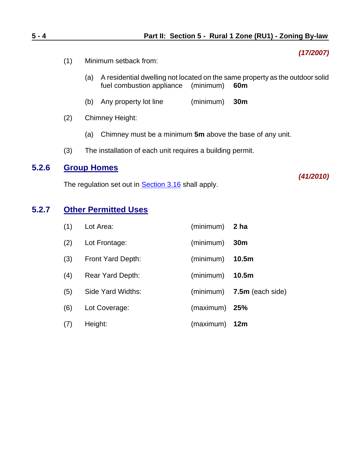- (1) Minimum setback from:
	- (a) A residential dwelling not located on the same property as the outdoor solid fuel combustion appliance (minimum) **60m**
	- (b) Any property lot line (minimum) **30m**
- (2) Chimney Height:
	- (a) Chimney must be a minimum **5m** above the base of any unit.
- (3) The installation of each unit requires a building permit.

#### **5.2.6 Group Homes**

The regulation set out in **Section 3.16** shall apply.

### **5.2.7 Other Permitted Uses**

| (1) | Lot Area:               | (minimum) | 2 ha               |
|-----|-------------------------|-----------|--------------------|
| (2) | Lot Frontage:           | (minimum) | 30 <sub>m</sub>    |
| (3) | Front Yard Depth:       | (minimum) | 10.5 <sub>m</sub>  |
| (4) | <b>Rear Yard Depth:</b> | (minimum) | 10.5 <sub>m</sub>  |
| (5) | Side Yard Widths:       | (minimum) | $7.5m$ (each side) |
| (6) | Lot Coverage:           | (maximum) | 25%                |
| (7) | Height:                 | (maximum) | 12m                |

*(17/2007)*

*(41/2010)*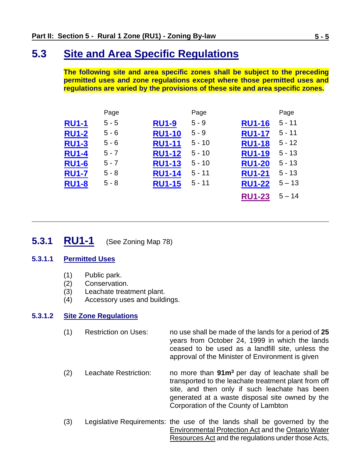## <span id="page-4-0"></span>**5.3 Site and Area Specific Regulations**

**The following site and area specific zones shall be subject to the preceding permitted uses and zone regulations except where those permitted uses and regulations are varied by the provisions of these site and area specific zones.**

|              | Page    |               | Page     |               | Page     |
|--------------|---------|---------------|----------|---------------|----------|
| <b>RU1-1</b> | $5 - 5$ | <b>RU1-9</b>  | $5 - 9$  | <b>RU1-16</b> | $5 - 11$ |
| <b>RU1-2</b> | $5 - 6$ | <b>RU1-10</b> | $5 - 9$  | <b>RU1-17</b> | $5 - 11$ |
| <b>RU1-3</b> | $5 - 6$ | <b>RU1-11</b> | $5 - 10$ | <b>RU1-18</b> | $5 - 12$ |
| <b>RU1-4</b> | $5 - 7$ | <b>RU1-12</b> | $5 - 10$ | <b>RU1-19</b> | $5 - 13$ |
| <b>RU1-6</b> | $5 - 7$ | <b>RU1-13</b> | $5 - 10$ | <b>RU1-20</b> | $5 - 13$ |
| <b>RU1-7</b> | $5 - 8$ | <b>RU1-14</b> | $5 - 11$ | <b>RU1-21</b> | $5 - 13$ |
| <b>RU1-8</b> | $5 - 8$ | <b>RU1-15</b> | $5 - 11$ | <b>RU1-22</b> | $5 - 13$ |
|              |         |               |          | <b>RU1-23</b> | $5 - 14$ |

## <span id="page-4-1"></span>**5.3.1 RU1-1** (See Zoning Map 78)

#### **5.3.1.1 Permitted Uses**

- (1) Public park.
- (2) Conservation.
- (3) Leachate treatment plant.
- (4) Accessory uses and buildings.

#### **5.3.1.2 Site Zone Regulations**

- (1) Restriction on Uses: no use shall be made of the lands for a period of **25**  years from October 24, 1999 in which the lands ceased to be used as a landfill site, unless the approval of the Minister of Environment is given
- (2) Leachate Restriction: no more than **91m<sup>3</sup>** per day of leachate shall be transported to the leachate treatment plant from off site, and then only if such leachate has been generated at a waste disposal site owned by the Corporation of the County of Lambton
- (3) Legislative Requirements: the use of the lands shall be governed by the Environmental Protection Act and the Ontario Water Resources Act and the regulations under those Acts,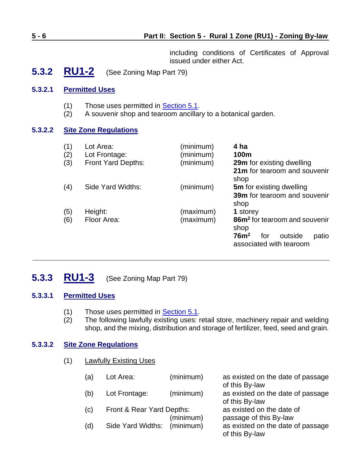#### **5 - 6 Part II: Section 5 - Rural 1 Zone (RU1) - Zoning By-law**

including conditions of Certificates of Approval issued under either Act.

<span id="page-5-0"></span>**5.3.2 RU1-2** (See Zoning Map Part 79)

#### **5.3.2.1 Permitted Uses**

- (1) Those uses permitted in **Section 5.1**.
- (2) A souvenir shop and tearoom ancillary to a botanical garden.

#### **5.3.2.2 Site Zone Regulations**

| (1)<br>(2)<br>(3) | Lot Area:<br>Lot Frontage:<br>Front Yard Depths: | (minimum)<br>(minimum)<br>(minimum) | 4 ha<br>100m<br><b>29m</b> for existing dwelling<br>21m for tearoom and souvenir<br>shop         |
|-------------------|--------------------------------------------------|-------------------------------------|--------------------------------------------------------------------------------------------------|
| (4)               | Side Yard Widths:                                | (minimum)                           | <b>5m</b> for existing dwelling<br><b>39m</b> for tearoom and souvenir<br>shop                   |
| (5)               | Height:                                          | (maximum)                           | 1 storey                                                                                         |
| (6)               | Floor Area:                                      | (maximum)                           | 86m <sup>2</sup> for tearoom and souvenir<br>shop<br>76m <sup>2</sup><br>for<br>outside<br>patio |
|                   |                                                  |                                     | associated with tearoom                                                                          |

## <span id="page-5-1"></span>**5.3.3 RU1-3** (See Zoning Map Part 79)

#### **5.3.3.1 Permitted Uses**

- (1) Those uses permitted in Section 5.1.
- (2) The following lawfully existing uses: retail store, machinery repair and welding shop, and the mixing, distribution and storage of fertilizer, feed, seed and grain.

#### **5.3.3.2 Site Zone Regulations**

(1) Lawfully Existing Uses

| a)  | Lot Area:                 | (minimum) | as existed on the date of passage                   |
|-----|---------------------------|-----------|-----------------------------------------------------|
|     |                           |           | of this By-law                                      |
| (b) | Lot Frontage:             | (minimum) | as existed on the date of passage<br>of this By-law |
| (c) | Front & Rear Yard Depths: |           | as existed on the date of                           |
|     |                           | (minimum) | passage of this By-law                              |
| (d) | Side Yard Widths:         | (minimum) | as existed on the date of passage                   |
|     |                           |           | of this By-law                                      |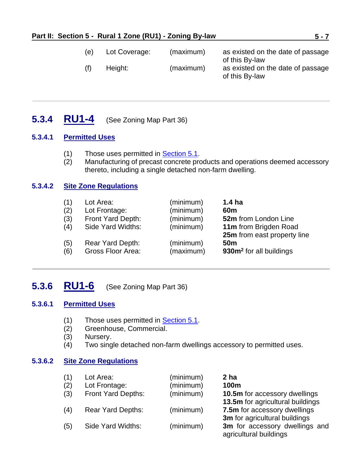| (e) | Lot Coverage: | (maximum) | as existed on the date of passage                                     |
|-----|---------------|-----------|-----------------------------------------------------------------------|
| (f) | Height:       | (maximum) | of this By-law<br>as existed on the date of passage<br>of this By-law |

## <span id="page-6-0"></span>**5.3.4 RU1-4** (See Zoning Map Part 36)

### **5.3.4.1 Permitted Uses**

- (1) Those uses permitted in Section 5.1.
- (2) Manufacturing of precast concrete products and operations deemed accessory thereto, including a single detached non-farm dwelling.

#### **5.3.4.2 Site Zone Regulations**

| <b>52m</b> from London Line         |
|-------------------------------------|
| 11m from Brigden Road               |
| 25m from east property line         |
|                                     |
| 930m <sup>2</sup> for all buildings |
|                                     |

## <span id="page-6-1"></span>**5.3.6 RU1-6** (See Zoning Map Part 36)

#### **5.3.6.1 Permitted Uses**

- (1) Those uses permitted in **Section 5.1**.<br>(2) Greenhouse, Commercial.
- Greenhouse, Commercial.
- (3) Nursery.
- (4) Two single detached non-farm dwellings accessory to permitted uses.

#### **5.3.6.2 Site Zone Regulations**

| (1) | Lot Area:                | (minimum) | 2 ha                                 |
|-----|--------------------------|-----------|--------------------------------------|
| (2) | Lot Frontage:            | (minimum) | 100m                                 |
| (3) | Front Yard Depths:       | (minimum) | <b>10.5m</b> for accessory dwellings |
|     |                          |           | 13.5m for agricultural buildings     |
| (4) | <b>Rear Yard Depths:</b> | (minimum) | 7.5m for accessory dwellings         |
|     |                          |           | 3m for agricultural buildings        |
| (5) | Side Yard Widths:        | (minimum) | 3m for accessory dwellings and       |
|     |                          |           | agricultural buildings               |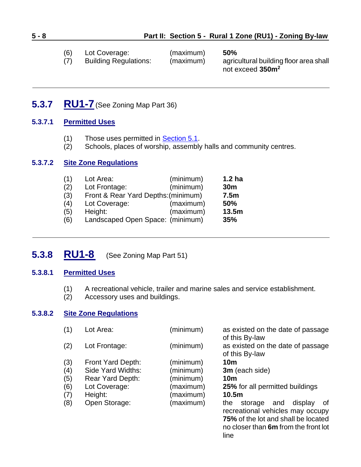| (6) | Lot Coverage: | (maximum) | 50% |
|-----|---------------|-----------|-----|
|     |               |           |     |

(7) Building Regulations: (maximum) agricultural building floor area shall not exceed **350m<sup>2</sup>**

## <span id="page-7-0"></span>**5.3.7 RU1-7**(See Zoning Map Part 36)

#### **5.3.7.1 Permitted Uses**

- (1) Those uses permitted in Section 5.1.
- (2) Schools, places of worship, assembly halls and community centres.

#### **5.3.7.2 Site Zone Regulations**

| (1) | Lot Area:                           | (minimum) | 1.2 <sub>ha</sub> |
|-----|-------------------------------------|-----------|-------------------|
| (2) | Lot Frontage:                       | (minimum) | 30 <sub>m</sub>   |
| (3) | Front & Rear Yard Depths: (minimum) |           | 7.5 <sub>m</sub>  |
| (4) | Lot Coverage:                       | (maximum) | 50%               |
| (5) | Height:                             | (maximum) | 13.5m             |
| (6) | Landscaped Open Space: (minimum)    |           | 35%               |

## <span id="page-7-1"></span>**5.3.8 RU1-8** (See Zoning Map Part 51)

#### **5.3.8.1 Permitted Uses**

- (1) A recreational vehicle, trailer and marine sales and service establishment.<br>(2) Accessory uses and buildings.
- Accessory uses and buildings.

#### **5.3.8.2 Site Zone Regulations**

| (1) | Lot Area:         | (minimum) | as existed on the date of passage<br>of this By-law                                                                                                               |
|-----|-------------------|-----------|-------------------------------------------------------------------------------------------------------------------------------------------------------------------|
| (2) | Lot Frontage:     | (minimum) | as existed on the date of passage<br>of this By-law                                                                                                               |
| (3) | Front Yard Depth: | (minimum) | 10 <sub>m</sub>                                                                                                                                                   |
| (4) | Side Yard Widths: | (minimum) | 3m (each side)                                                                                                                                                    |
| (5) | Rear Yard Depth:  | (minimum) | 10 <sub>m</sub>                                                                                                                                                   |
| (6) | Lot Coverage:     | (maximum) | 25% for all permitted buildings                                                                                                                                   |
| (7) | Height:           | (maximum) | 10.5 <sub>m</sub>                                                                                                                                                 |
| (8) | Open Storage:     | (maximum) | display<br>storage<br>the<br>and<br>0f<br>recreational vehicles may occupy<br>75% of the lot and shall be located<br>no closer than 6m from the front lot<br>line |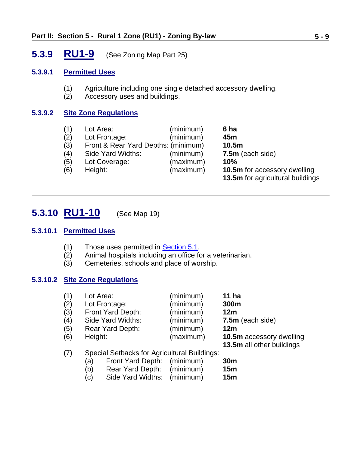## <span id="page-8-0"></span>**5.3.9 RU1-9** (See Zoning Map Part 25)

#### **5.3.9.1 Permitted Uses**

- (1) Agriculture including one single detached accessory dwelling.
- (2) Accessory uses and buildings.

#### **5.3.9.2 Site Zone Regulations**

| (1) | Lot Area:                           | (minimum) | 6 ha                                    |
|-----|-------------------------------------|-----------|-----------------------------------------|
| (2) | Lot Frontage:                       | (minimum) | 45m                                     |
| (3) | Front & Rear Yard Depths: (minimum) |           | 10.5m                                   |
| (4) | Side Yard Widths:                   | (minimum) | 7.5m (each side)                        |
| (5) | Lot Coverage:                       | (maximum) | 10%                                     |
| (6) | Height:                             | (maximum) | <b>10.5m</b> for accessory dwelling     |
|     |                                     |           | <b>13.5m</b> for agricultural buildings |

## <span id="page-8-1"></span>**5.3.10 RU1-10** (See Map 19)

#### **5.3.10.1 Permitted Uses**

- (1) Those uses permitted in Section 5.1.
- (2) Animal hospitals including an office for a veterinarian.
- (3) Cemeteries, schools and place of worship.

### **5.3.10.2 Site Zone Regulations**

| (1) | Lot Area:               | (minimum) | 11 <sub>ha</sub>          |
|-----|-------------------------|-----------|---------------------------|
| (2) | Lot Frontage:           | (minimum) | 300m                      |
| (3) | Front Yard Depth:       | (minimum) | 12m                       |
| (4) | Side Yard Widths:       | (minimum) | 7.5m (each side)          |
| (5) | <b>Rear Yard Depth:</b> | (minimum) | 12m                       |
| (6) | Height:                 | (maximum) | 10.5m accessory dwelling  |
|     |                         |           | 13.5m all other buildings |

#### (7) Special Setbacks for Agricultural Buildings:

- (a) Front Yard Depth: (minimum) **30m**
- (b) Rear Yard Depth: (minimum) **15m**
- (c) Side Yard Widths: (minimum) **15m**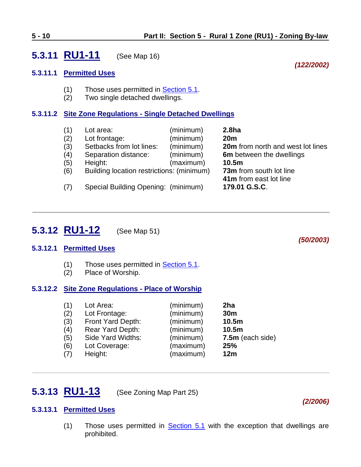## <span id="page-9-0"></span>**5.3.11 RU1-11** (See Map 16)

#### **5.3.11.1 Permitted Uses**

- (1) Those uses permitted in **Section 5.1**.
- (2) Two single detached dwellings.

#### **5.3.11.2 Site Zone Regulations - Single Detached Dwellings**

(1) Lot area: (minimum) **2.8ha** (2) Lot frontage: (minimum) **20m** (3) Setbacks from lot lines: (minimum) **20m** from north and west lot lines (4) Separation distance: (minimum) **6m** between the dwellings (5) Height: (maximum) **10.5m** (6) Building location restrictions: (minimum) **73m** from south lot line **41m** from east lot line (7) Special Building Opening: (minimum) **179.01 G.S.C**.

## <span id="page-9-1"></span>**5.3.12 RU1-12** (See Map 51)

#### **5.3.12.1 Permitted Uses**

- (1) Those uses permitted in **Section 5.1**.
- (2) Place of Worship.

#### **5.3.12.2 Site Zone Regulations - Place of Worship**

| (1) | Lot Area:         | (minimum) | 2ha              |
|-----|-------------------|-----------|------------------|
| (2) | Lot Frontage:     | (minimum) | 30 <sub>m</sub>  |
| (3) | Front Yard Depth: | (minimum) | 10.5m            |
| (4) | Rear Yard Depth:  | (minimum) | 10.5m            |
| (5) | Side Yard Widths: | (minimum) | 7.5m (each side) |
| (6) | Lot Coverage:     | (maximum) | 25%              |
| (7) | Height:           | (maximum) | 12m              |

## <span id="page-9-2"></span>**5.3.13 RU1-13** (See Zoning Map Part 25)

#### **5.3.13.1 Permitted Uses**

(1) Those uses permitted in [Section 5.1](#page-0-0) with the exception that dwellings are prohibited.

*(122/2002)*

*(50/2003)*

*(2/2006)*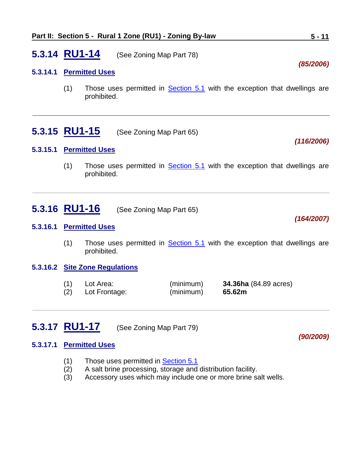## <span id="page-10-2"></span>**5.3.14 RU1-14** (See Zoning Map Part 78)

#### **5.3.14.1 Permitted Uses**

(1) Those uses permitted in [Section 5.1](#page-0-0) with the exception that dwellings are prohibited.

## <span id="page-10-3"></span>**5.3.15 RU1-15** (See Zoning Map Part 65)

#### **5.3.15.1 Permitted Uses**

(1) Those uses permitted in [Section 5.1](#page-0-0) with the exception that dwellings are prohibited.

## <span id="page-10-0"></span>**5.3.16 RU1-16** (See Zoning Map Part 65)

#### **5.3.16.1 Permitted Uses**

(1) Those uses permitted in  $Section 5.1$  with the exception that dwellings are prohibited.

#### **5.3.16.2 Site Zone Regulations**

| (1) | Lot Area:     | (minimum) | <b>34.36ha</b> (84.89 acres) |
|-----|---------------|-----------|------------------------------|
| (2) | Lot Frontage: | (minimum) | 65.62m                       |

## <span id="page-10-1"></span>**5.3.17 RU1-17** (See Zoning Map Part 79)

#### **5.3.17.1 Permitted Uses**

- (1) Those uses permitted in **Section 5.1**
- (2) A salt brine processing, storage and distribution facility.
- (3) Accessory uses which may include one or more brine salt wells.

#### *(90/2009)*

#### *(116/2006)*

*(164/2007)*

*(85/2006)*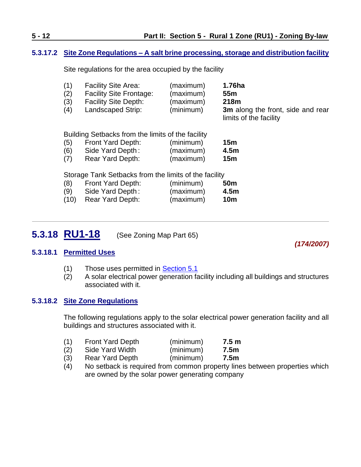#### **5.3.17.2 Site Zone Regulations – A salt brine processing, storage and distribution facility**

Site regulations for the area occupied by the facility

| (1) | <b>Facility Site Area:</b>     | (maximum) | 1.76ha                            |
|-----|--------------------------------|-----------|-----------------------------------|
| (2) | <b>Facility Site Frontage:</b> | (maximum) | 55m                               |
| (3) | <b>Facility Site Depth:</b>    | (maximum) | 218m                              |
| (4) | Landscaped Strip:              | (minimum) | 3m along the front, side and rear |
|     |                                |           | limits of the facility            |

Building Setbacks from the limits of the facility

| (5) | Front Yard Depth: | (minimum) | 15m             |
|-----|-------------------|-----------|-----------------|
| (6) | Side Yard Depth:  | (maximum) | 4.5m            |
| (7) | Rear Yard Depth:  | (maximum) | 15 <sub>m</sub> |

Storage Tank Setbacks from the limits of the facility

| (8)  | Front Yard Depth: | (minimum) | <b>50m</b>       |
|------|-------------------|-----------|------------------|
| (9)  | Side Yard Depth:  | (maximum) | 4.5 <sub>m</sub> |
| (10) | Rear Yard Depth:  | (maximum) | 10m              |

<span id="page-11-0"></span>**5.3.18 RU1-18** (See Zoning Map Part 65)

*(174/2007)*

#### **5.3.18.1 Permitted Uses**

- (1) Those uses permitted in **Section 5.1**
- (2) A solar electrical power generation facility including all buildings and structures associated with it.

#### **5.3.18.2 Site Zone Regulations**

The following regulations apply to the solar electrical power generation facility and all buildings and structures associated with it.

| (1) | <b>Front Yard Depth</b> | (minimum) | 7.5 m |
|-----|-------------------------|-----------|-------|
| (2) | Side Yard Width         | (minimum) | 7.5m  |

- (3) Rear Yard Depth (minimum) **7.5m**
- (4) No setback is required from common property lines between properties which are owned by the solar power generating company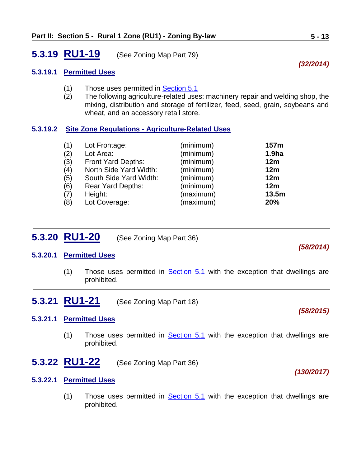## <span id="page-12-0"></span>**5.3.19 RU1-19** (See Zoning Map Part 79)

#### **5.3.19.1 Permitted Uses**

- (1) Those uses permitted in [Section 5.1](#page-0-0)
- (2) The following agriculture-related uses: machinery repair and welding shop, the mixing, distribution and storage of fertilizer, feed, seed, grain, soybeans and wheat, and an accessory retail store.

#### **5.3.19.2 Site Zone Regulations - Agriculture-Related Uses**

| (1) | Lot Frontage:          | (minimum) | 157m              |
|-----|------------------------|-----------|-------------------|
| (2) | Lot Area:              | (minimum) | 1.9 <sub>ha</sub> |
| (3) | Front Yard Depths:     | (minimum) | 12m               |
| (4) | North Side Yard Width: | (minimum) | 12m               |
| (5) | South Side Yard Width: | (minimum) | 12m               |
| (6) | Rear Yard Depths:      | (minimum) | 12m               |
| (7) | Height:                | (maximum) | 13.5m             |
| (8) | Lot Coverage:          | (maximum) | 20%               |

## <span id="page-12-1"></span>**5.3.20 RU1-20** (See Zoning Map Part 36)

#### **5.3.20.1 Permitted Uses**

- <span id="page-12-2"></span>(1) Those uses permitted in  $Section 5.1$  with the exception that dwellings are prohibited.
- **5.3.21 RU1-21** (See Zoning Map Part 18)

#### **5.3.21.1 Permitted Uses**

- <span id="page-12-3"></span>(1) Those uses permitted in  $Section 5.1$  with the exception that dwellings are prohibited.
- **5.3.22 RU1-22** (See Zoning Map Part 36)

#### **5.3.22.1 Permitted Uses**

(1) Those uses permitted in [Section 5.1](#page-0-0) with the exception that dwellings are prohibited.

*(58/2014)*

# *(32/2014)*

*(130/2017)*

*(58/2015)*